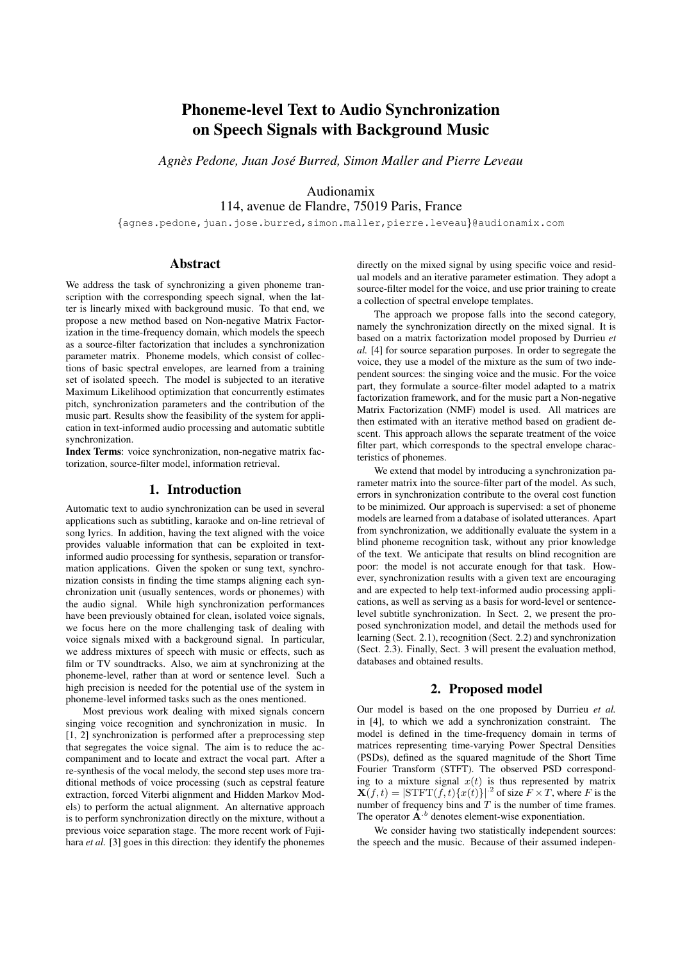# Phoneme-level Text to Audio Synchronization on Speech Signals with Background Music

*Agnes Pedone, Juan Jos ` e Burred, Simon Maller and Pierre Leveau ´*

## Audionamix 114, avenue de Flandre, 75019 Paris, France

{agnes.pedone,juan.jose.burred,simon.maller,pierre.leveau}@audionamix.com

## Abstract

We address the task of synchronizing a given phoneme transcription with the corresponding speech signal, when the latter is linearly mixed with background music. To that end, we propose a new method based on Non-negative Matrix Factorization in the time-frequency domain, which models the speech as a source-filter factorization that includes a synchronization parameter matrix. Phoneme models, which consist of collections of basic spectral envelopes, are learned from a training set of isolated speech. The model is subjected to an iterative Maximum Likelihood optimization that concurrently estimates pitch, synchronization parameters and the contribution of the music part. Results show the feasibility of the system for application in text-informed audio processing and automatic subtitle synchronization.

Index Terms: voice synchronization, non-negative matrix factorization, source-filter model, information retrieval.

#### 1. Introduction

Automatic text to audio synchronization can be used in several applications such as subtitling, karaoke and on-line retrieval of song lyrics. In addition, having the text aligned with the voice provides valuable information that can be exploited in textinformed audio processing for synthesis, separation or transformation applications. Given the spoken or sung text, synchronization consists in finding the time stamps aligning each synchronization unit (usually sentences, words or phonemes) with the audio signal. While high synchronization performances have been previously obtained for clean, isolated voice signals, we focus here on the more challenging task of dealing with voice signals mixed with a background signal. In particular, we address mixtures of speech with music or effects, such as film or TV soundtracks. Also, we aim at synchronizing at the phoneme-level, rather than at word or sentence level. Such a high precision is needed for the potential use of the system in phoneme-level informed tasks such as the ones mentioned.

Most previous work dealing with mixed signals concern singing voice recognition and synchronization in music. In [1, 2] synchronization is performed after a preprocessing step that segregates the voice signal. The aim is to reduce the accompaniment and to locate and extract the vocal part. After a re-synthesis of the vocal melody, the second step uses more traditional methods of voice processing (such as cepstral feature extraction, forced Viterbi alignment and Hidden Markov Models) to perform the actual alignment. An alternative approach is to perform synchronization directly on the mixture, without a previous voice separation stage. The more recent work of Fujihara *et al.* [3] goes in this direction: they identify the phonemes directly on the mixed signal by using specific voice and residual models and an iterative parameter estimation. They adopt a source-filter model for the voice, and use prior training to create a collection of spectral envelope templates.

The approach we propose falls into the second category, namely the synchronization directly on the mixed signal. It is based on a matrix factorization model proposed by Durrieu *et al.* [4] for source separation purposes. In order to segregate the voice, they use a model of the mixture as the sum of two independent sources: the singing voice and the music. For the voice part, they formulate a source-filter model adapted to a matrix factorization framework, and for the music part a Non-negative Matrix Factorization (NMF) model is used. All matrices are then estimated with an iterative method based on gradient descent. This approach allows the separate treatment of the voice filter part, which corresponds to the spectral envelope characteristics of phonemes.

We extend that model by introducing a synchronization parameter matrix into the source-filter part of the model. As such, errors in synchronization contribute to the overal cost function to be minimized. Our approach is supervised: a set of phoneme models are learned from a database of isolated utterances. Apart from synchronization, we additionally evaluate the system in a blind phoneme recognition task, without any prior knowledge of the text. We anticipate that results on blind recognition are poor: the model is not accurate enough for that task. However, synchronization results with a given text are encouraging and are expected to help text-informed audio processing applications, as well as serving as a basis for word-level or sentencelevel subtitle synchronization. In Sect. 2, we present the proposed synchronization model, and detail the methods used for learning (Sect. 2.1), recognition (Sect. 2.2) and synchronization (Sect. 2.3). Finally, Sect. 3 will present the evaluation method, databases and obtained results.

### 2. Proposed model

Our model is based on the one proposed by Durrieu *et al.* in [4], to which we add a synchronization constraint. The model is defined in the time-frequency domain in terms of matrices representing time-varying Power Spectral Densities (PSDs), defined as the squared magnitude of the Short Time Fourier Transform (STFT). The observed PSD corresponding to a mixture signal  $x(t)$  is thus represented by matrix  $\mathbf{X}(f,t) = |\text{STFT}(f,t)\{x(t)\}|^{2}$  of size  $\overline{F} \times T$ , where  $F$  is the number of frequency bins and  $T$  is the number of time frames. The operator  $\mathbf{A}^{b}$  denotes element-wise exponentiation.

We consider having two statistically independent sources: the speech and the music. Because of their assumed indepen-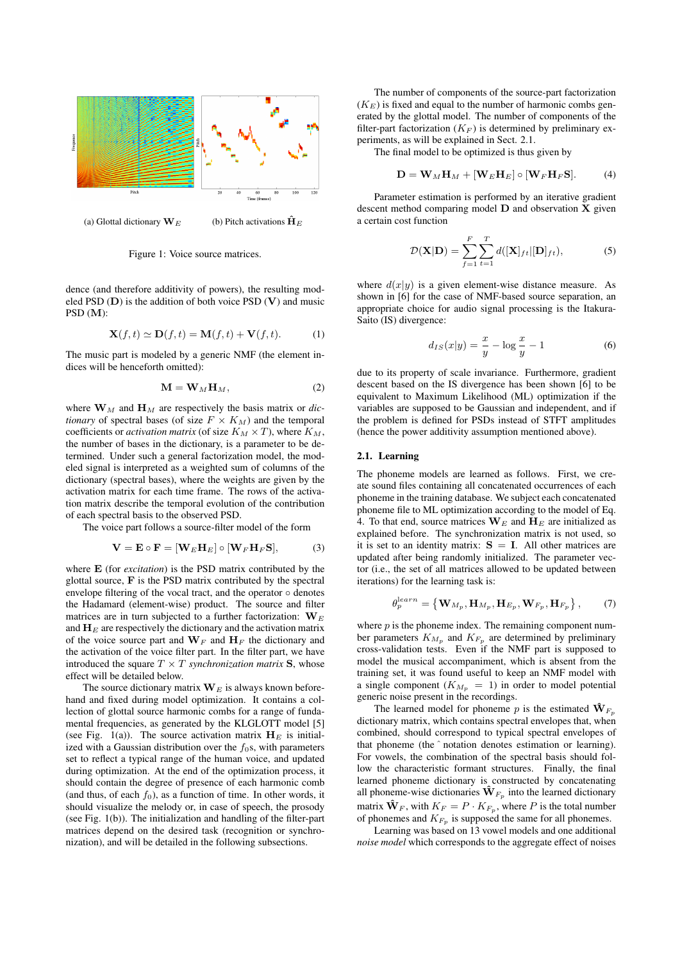

(a) Glottal dictionary  $\mathbf{W}_E$  (b) Pitch activations  $\mathbf{\hat{H}}_E$ 

Figure 1: Voice source matrices.

dence (and therefore additivity of powers), the resulting modeled PSD  $(D)$  is the addition of both voice PSD  $(V)$  and music PSD (M):

$$
\mathbf{X}(f,t) \simeq \mathbf{D}(f,t) = \mathbf{M}(f,t) + \mathbf{V}(f,t). \tag{1}
$$

The music part is modeled by a generic NMF (the element indices will be henceforth omitted):

$$
\mathbf{M} = \mathbf{W}_M \mathbf{H}_M, \tag{2}
$$

where  $\mathbf{W}_M$  and  $\mathbf{H}_M$  are respectively the basis matrix or *dictionary* of spectral bases (of size  $F \times K_M$ ) and the temporal coefficients or *activation matrix* (of size  $K_M \times T$ ), where  $K_M$ , the number of bases in the dictionary, is a parameter to be determined. Under such a general factorization model, the modeled signal is interpreted as a weighted sum of columns of the dictionary (spectral bases), where the weights are given by the activation matrix for each time frame. The rows of the activation matrix describe the temporal evolution of the contribution of each spectral basis to the observed PSD.

The voice part follows a source-filter model of the form

$$
\mathbf{V} = \mathbf{E} \circ \mathbf{F} = [\mathbf{W}_E \mathbf{H}_E] \circ [\mathbf{W}_F \mathbf{H}_F \mathbf{S}], \tag{3}
$$

where E (for *excitation*) is the PSD matrix contributed by the glottal source, F is the PSD matrix contributed by the spectral envelope filtering of the vocal tract, and the operator ∘ denotes the Hadamard (element-wise) product. The source and filter matrices are in turn subjected to a further factorization:  $W_E$ and  $H_E$  are respectively the dictionary and the activation matrix of the voice source part and  $W_F$  and  $H_F$  the dictionary and the activation of the voice filter part. In the filter part, we have introduced the square  $T \times T$  *synchronization matrix* S, whose effect will be detailed below.

The source dictionary matrix  $W_E$  is always known beforehand and fixed during model optimization. It contains a collection of glottal source harmonic combs for a range of fundamental frequencies, as generated by the KLGLOTT model [5] (see Fig. 1(a)). The source activation matrix  $H_E$  is initialized with a Gaussian distribution over the  $f_0$ s, with parameters set to reflect a typical range of the human voice, and updated during optimization. At the end of the optimization process, it should contain the degree of presence of each harmonic comb (and thus, of each  $f_0$ ), as a function of time. In other words, it should visualize the melody or, in case of speech, the prosody (see Fig. 1(b)). The initialization and handling of the filter-part matrices depend on the desired task (recognition or synchronization), and will be detailed in the following subsections.

The number of components of the source-part factorization  $(K_E)$  is fixed and equal to the number of harmonic combs generated by the glottal model. The number of components of the filter-part factorization  $(K_F)$  is determined by preliminary experiments, as will be explained in Sect. 2.1.

The final model to be optimized is thus given by

$$
\mathbf{D} = \mathbf{W}_M \mathbf{H}_M + [\mathbf{W}_E \mathbf{H}_E] \circ [\mathbf{W}_F \mathbf{H}_F \mathbf{S}]. \tag{4}
$$

Parameter estimation is performed by an iterative gradient descent method comparing model  $D$  and observation  $X$  given a certain cost function

$$
\mathcal{D}(\mathbf{X}|\mathbf{D}) = \sum_{f=1}^{F} \sum_{t=1}^{T} d([\mathbf{X}]_{ft} | [\mathbf{D}]_{ft}),
$$
\n(5)

where  $d(x|y)$  is a given element-wise distance measure. As shown in [6] for the case of NMF-based source separation, an appropriate choice for audio signal processing is the Itakura-Saito (IS) divergence:

$$
d_{IS}(x|y) = \frac{x}{y} - \log\frac{x}{y} - 1\tag{6}
$$

due to its property of scale invariance. Furthermore, gradient descent based on the IS divergence has been shown [6] to be equivalent to Maximum Likelihood (ML) optimization if the variables are supposed to be Gaussian and independent, and if the problem is defined for PSDs instead of STFT amplitudes (hence the power additivity assumption mentioned above).

#### 2.1. Learning

The phoneme models are learned as follows. First, we create sound files containing all concatenated occurrences of each phoneme in the training database. We subject each concatenated phoneme file to ML optimization according to the model of Eq. 4. To that end, source matrices  $W_E$  and  $H_E$  are initialized as explained before. The synchronization matrix is not used, so it is set to an identity matrix:  $S = I$ . All other matrices are updated after being randomly initialized. The parameter vector (i.e., the set of all matrices allowed to be updated between iterations) for the learning task is:

$$
\theta_p^{learn} = \left\{ \mathbf{W}_{M_p}, \mathbf{H}_{M_p}, \mathbf{H}_{E_p}, \mathbf{W}_{F_p}, \mathbf{H}_{F_p} \right\},\tag{7}
$$

where  $p$  is the phoneme index. The remaining component number parameters  $K_{M_p}$  and  $K_{F_p}$  are determined by preliminary cross-validation tests. Even if the NMF part is supposed to model the musical accompaniment, which is absent from the training set, it was found useful to keep an NMF model with a single component  $(K_{M_p} = 1)$  in order to model potential generic noise present in the recordings.

The learned model for phoneme p is the estimated  $\mathbf{\hat{W}}_{F_p}$ dictionary matrix, which contains spectral envelopes that, when combined, should correspond to typical spectral envelopes of that phoneme (the ˆ notation denotes estimation or learning). For vowels, the combination of the spectral basis should follow the characteristic formant structures. Finally, the final learned phoneme dictionary is constructed by concatenating all phoneme-wise dictionaries  $\mathbf{\hat{W}}_{F_p}$  into the learned dictionary matrix  $\hat{\mathbf{W}}_F$ , with  $K_F = P \cdot K_{F_p}$ , where P is the total number of phonemes and  $K_{F_p}$  is supposed the same for all phonemes.

Learning was based on 13 vowel models and one additional *noise model* which corresponds to the aggregate effect of noises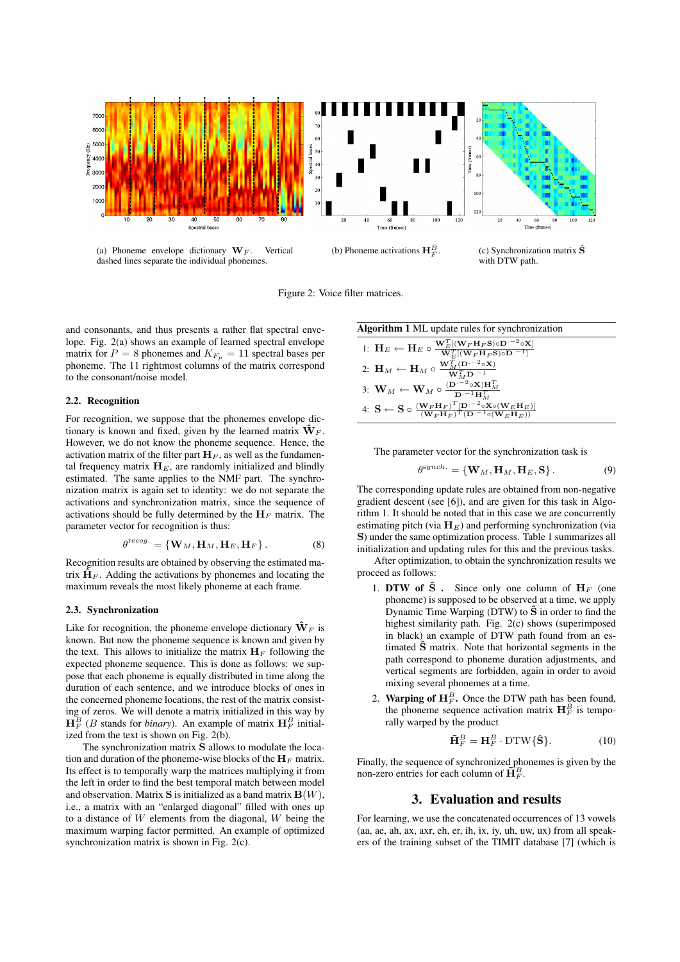

Figure 2: Voice filter matrices.

and consonants, and thus presents a rather flat spectral envelope. Fig. 2(a) shows an example of learned spectral envelope matrix for  $P = 8$  phonemes and  $K_{F_p} = 11$  spectral bases per phoneme. The 11 rightmost columns of the matrix correspond to the consonant/noise model.

#### 2.2. Recognition

For recognition, we suppose that the phonemes envelope dictionary is known and fixed, given by the learned matrix  $\hat{\mathbf{W}}_F$ . However, we do not know the phoneme sequence. Hence, the activation matrix of the filter part  $H_F$ , as well as the fundamental frequency matrix  $H<sub>E</sub>$ , are randomly initialized and blindly estimated. The same applies to the NMF part. The synchronization matrix is again set to identity: we do not separate the activations and synchronization matrix, since the sequence of activations should be fully determined by the  $H_F$  matrix. The parameter vector for recognition is thus:

$$
\theta^{\text{recog.}} = \{ \mathbf{W}_M, \mathbf{H}_M, \mathbf{H}_E, \mathbf{H}_F \}.
$$
 (8)

Recognition results are obtained by observing the estimated matrix  $\hat{H}_F$ . Adding the activations by phonemes and locating the maximum reveals the most likely phoneme at each frame.

#### 2.3. Synchronization

Like for recognition, the phoneme envelope dictionary  $\hat{\mathbf{W}}_F$  is known. But now the phoneme sequence is known and given by the text. This allows to initialize the matrix  $H_F$  following the expected phoneme sequence. This is done as follows: we suppose that each phoneme is equally distributed in time along the duration of each sentence, and we introduce blocks of ones in the concerned phoneme locations, the rest of the matrix consisting of zeros. We will denote a matrix initialized in this way by  $\mathbf{H}_F^B$  (*B* stands for *binary*). An example of matrix  $\mathbf{H}_F^B$  initialized from the text is shown on Fig. 2(b).

The synchronization matrix S allows to modulate the location and duration of the phoneme-wise blocks of the  $H_F$  matrix. Its effect is to temporally warp the matrices multiplying it from the left in order to find the best temporal match between model and observation. Matrix  $S$  is initialized as a band matrix  $B(W)$ , i.e., a matrix with an "enlarged diagonal" filled with ones up to a distance of  $W$  elements from the diagonal,  $W$  being the maximum warping factor permitted. An example of optimized synchronization matrix is shown in Fig. 2(c).

Algorithm 1 ML update rules for synchronization  
\n1: 
$$
H_E \leftarrow H_E \circ \frac{W_E^T[(W_F H_F S) \circ D^{-2} \circ X]}{W_E^T[(W_F H_F S) \circ D^{-1}]}
$$
\n2: 
$$
H_M \leftarrow H_M \circ \frac{W_M^T(D^{-2} \circ X)}{W_M^T D^{-1}}
$$
\n3: 
$$
W_M \leftarrow W_M \circ \frac{(D^{-2} \circ X) H_M^T}{D^{-1} H_M^T}
$$
\n4: 
$$
S \leftarrow S \circ \frac{(W_F H_F)^T[D^{-2} \circ X \circ (W_E H_E)]}{(W_F H_F)^T (D^{-1} \circ (W_E H_E))}
$$

The parameter vector for the synchronization task is

$$
\theta^{synch.} = \{ \mathbf{W}_M, \mathbf{H}_M, \mathbf{H}_E, \mathbf{S} \}.
$$
 (9)

The corresponding update rules are obtained from non-negative gradient descent (see [6]), and are given for this task in Algorithm 1. It should be noted that in this case we are concurrently estimating pitch (via  $H_E$ ) and performing synchronization (via S) under the same optimization process. Table 1 summarizes all initialization and updating rules for this and the previous tasks.

After optimization, to obtain the synchronization results we proceed as follows:

- 1. DTW of  $\hat{S}$ . Since only one column of  $H_F$  (one phoneme) is supposed to be observed at a time, we apply Dynamic Time Warping (DTW) to  $\hat{S}$  in order to find the highest similarity path. Fig. 2(c) shows (superimposed in black) an example of DTW path found from an estimated  $\hat{S}$  matrix. Note that horizontal segments in the path correspond to phoneme duration adjustments, and vertical segments are forbidden, again in order to avoid mixing several phonemes at a time.
- 2. Warping of  $H_F^B$ . Once the DTW path has been found, the phoneme sequence activation matrix  $\mathbf{H}_F^B$  is temporally warped by the product

$$
\tilde{\mathbf{H}}_F^B = \mathbf{H}_F^B \cdot \text{DTW}\{\hat{\mathbf{S}}\}.
$$
 (10)

Finally, the sequence of synchronized phonemes is given by the non-zero entries for each column of  $\tilde{H}_F^B$ .

## 3. Evaluation and results

For learning, we use the concatenated occurrences of 13 vowels (aa, ae, ah, ax, axr, eh, er, ih, ix, iy, uh, uw, ux) from all speakers of the training subset of the TIMIT database [7] (which is